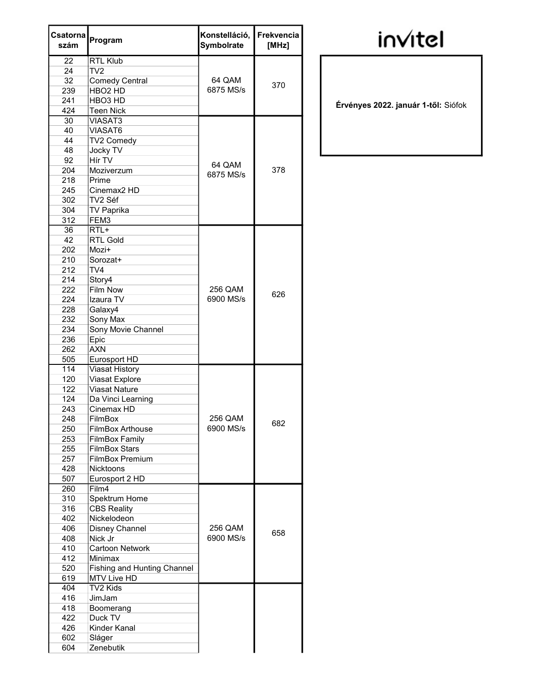| Csatorna<br>szám | Program                            | Konstelláció,<br>Symbolrate | Frekvencia<br>[MHz] |
|------------------|------------------------------------|-----------------------------|---------------------|
| 22               | <b>RTL Klub</b>                    |                             |                     |
| 24               | TV2                                |                             |                     |
| 32               | <b>Comedy Central</b>              | 64 QAM                      |                     |
| 239              | HBO <sub>2</sub> HD                | 6875 MS/s                   | 370                 |
| 241              | HBO <sub>3</sub> HD                |                             |                     |
| 424              | <b>Teen Nick</b>                   |                             |                     |
| 30               | <b>VIASAT3</b>                     |                             |                     |
| 40               | VIASAT6                            |                             |                     |
| 44               | TV2 Comedy                         |                             |                     |
| 48               | <b>Jocky TV</b>                    |                             |                     |
| 92               | Hír TV                             | 64 QAM                      |                     |
| 204              | Moziverzum                         | 6875 MS/s                   | 378                 |
| 218              | Prime                              |                             |                     |
| 245              | Cinemax <sub>2</sub> HD            |                             |                     |
| 302              | TV2 Séf                            |                             |                     |
| 304              | <b>TV Paprika</b>                  |                             |                     |
| 312              | FEM3                               |                             |                     |
| 36               | $RTL+$                             |                             |                     |
| 42               | <b>RTL Gold</b>                    |                             |                     |
| 202              | Mozi+                              |                             |                     |
| 210              | Sorozat+                           |                             |                     |
| 212              | TV4                                |                             |                     |
| 214              | Story4                             |                             |                     |
| 222              | Film Now                           | 256 QAM                     |                     |
| 224              | Izaura TV                          | 6900 MS/s                   | 626                 |
| 228              | Galaxy4                            |                             |                     |
| 232              | Sony Max                           |                             |                     |
| 234              | Sony Movie Channel                 |                             |                     |
| 236              | Epic                               |                             |                     |
| 262              | AXN                                |                             |                     |
| 505              | Eurosport HD                       |                             |                     |
| 114              | <b>Viasat History</b>              |                             |                     |
| 120              | Viasat Explore                     |                             |                     |
| 122              | <b>Viasat Nature</b>               |                             |                     |
| 124              | Da Vinci Learning                  |                             |                     |
| 243              | Cinemax HD                         |                             |                     |
| 248              | FilmBox                            | 256 QAM                     |                     |
| 250              | <b>FilmBox Arthouse</b>            | 6900 MS/s                   | 682                 |
| 253              | <b>FilmBox Family</b>              |                             |                     |
| 255              | <b>FilmBox Stars</b>               |                             |                     |
| 257              | <b>FilmBox Premium</b>             |                             |                     |
| 428              | <b>Nicktoons</b>                   |                             |                     |
| 507              | Eurosport 2 HD                     |                             |                     |
| 260              | Film4                              |                             |                     |
| 310              | Spektrum Home                      |                             |                     |
| 316              | <b>CBS Reality</b>                 |                             |                     |
| 402              | Nickelodeon                        |                             |                     |
| 406              | Disney Channel                     | 256 QAM                     |                     |
| 408              | Nick Jr                            | 6900 MS/s                   | 658                 |
| 410              | Cartoon Network                    |                             |                     |
| 412              | <b>Minimax</b>                     |                             |                     |
| 520              | <b>Fishing and Hunting Channel</b> |                             |                     |
| 619              | MTV Live HD                        |                             |                     |
| 404              | TV2 Kids                           |                             |                     |
| 416              | JimJam                             |                             |                     |
| 418              | Boomerang                          |                             |                     |
| 422              | Duck TV                            |                             |                     |
| 426              | Kinder Kanal                       |                             |                     |
| 602              | Sláger                             |                             |                     |
| 604              | Zenebutik                          |                             |                     |
|                  |                                    |                             |                     |

## **invitel**

Érvényes 2022. január 1-től: Siófok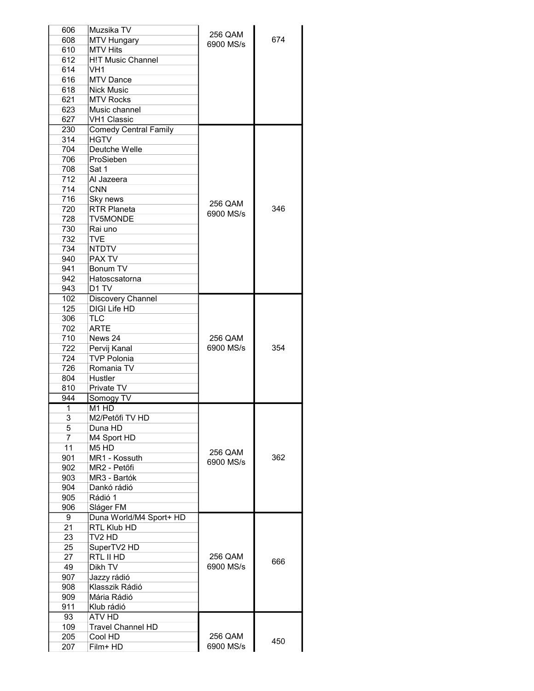| 606            | Muzsika TV                    |                      |     |
|----------------|-------------------------------|----------------------|-----|
| 608            | <b>MTV Hungary</b>            | 256 QAM              | 674 |
| 610            | <b>MTV Hits</b>               | 6900 MS/s            |     |
| 612            | <b>H!T Music Channel</b>      |                      |     |
| 614            | VH <sub>1</sub>               |                      |     |
| 616            | <b>MTV Dance</b>              |                      |     |
| 618            | <b>Nick Music</b>             |                      |     |
| 621            | <b>MTV Rocks</b>              |                      |     |
| 623            | Music channel                 |                      |     |
| 627            | <b>VH1 Classic</b>            |                      |     |
| 230            | <b>Comedy Central Family</b>  |                      |     |
| 314            | <b>HGTV</b>                   |                      |     |
|                | Deutche Welle                 |                      |     |
| 704            | ProSieben                     |                      |     |
| 706            |                               |                      |     |
| 708            | Sat 1                         |                      |     |
| 712            | Al Jazeera                    |                      |     |
| 714            | <b>CNN</b>                    |                      |     |
| 716            | Sky news                      | 256 QAM              |     |
| 720            | <b>RTR Planeta</b>            | 6900 MS/s            | 346 |
| 728            | <b>TV5MONDE</b>               |                      |     |
| 730            | Rai uno                       |                      |     |
| 732            | <b>TVE</b>                    |                      |     |
| 734            | <b>NTDTV</b>                  |                      |     |
| 940            | PAX TV                        |                      |     |
| 941            | Bonum TV                      |                      |     |
| 942            | Hatoscsatorna                 |                      |     |
| 943            | D1 TV                         |                      |     |
| 102            | Discovery Channel             |                      |     |
| 125            | DIGI Life HD                  |                      |     |
| 306            | <b>TLC</b>                    |                      |     |
| 702            | ARTE                          |                      |     |
| 710            | News 24                       | 256 QAM              |     |
| 722            | Pervij Kanal                  | 6900 MS/s            | 354 |
| 724            | <b>TVP Polonia</b>            |                      |     |
| 726            | Romania TV                    |                      |     |
| 804            | Hustler                       |                      |     |
| 810            | Private TV                    |                      |     |
| 944            | Somogy TV                     |                      |     |
| $\mathbf{1}$   | M <sub>1</sub> HD             |                      |     |
| 3              | M2/Petőfi TV HD               |                      |     |
|                |                               |                      |     |
| 5              | Duna HD                       |                      |     |
| $\overline{7}$ | M4 Sport HD                   |                      |     |
| 11             | M <sub>5</sub> H <sub>D</sub> | 256 QAM              |     |
| 901            | MR1 - Kossuth                 | 6900 MS/s            | 362 |
| 902            | MR2 - Petőfi                  |                      |     |
| 903            | MR3 - Bartók                  |                      |     |
| 904            | Dankó rádió                   |                      |     |
| 905            | Rádió 1                       |                      |     |
| 906            | Sláger FM                     |                      |     |
| 9              | Duna World/M4 Sport+ HD       |                      |     |
| 21             | RTL Klub HD                   |                      |     |
| 23             | TV <sub>2</sub> HD            |                      |     |
| 25             | SuperTV2 HD                   |                      |     |
| 27             | RTL II HD                     | 256 QAM              |     |
| 49             | Dikh TV                       | 6900 MS/s            | 666 |
| 907            | Jazzy rádió                   |                      |     |
| 908            | Klasszik Rádió                |                      |     |
| 909            | Mária Rádió                   |                      |     |
| 911            | Klub rádió                    |                      |     |
| 93             | ATV HD                        |                      |     |
|                |                               |                      |     |
| 109            | <b>Travel Channel HD</b>      |                      |     |
| 205<br>207     | Cool HD                       | 256 QAM<br>6900 MS/s | 450 |
|                | Film+ HD                      |                      |     |